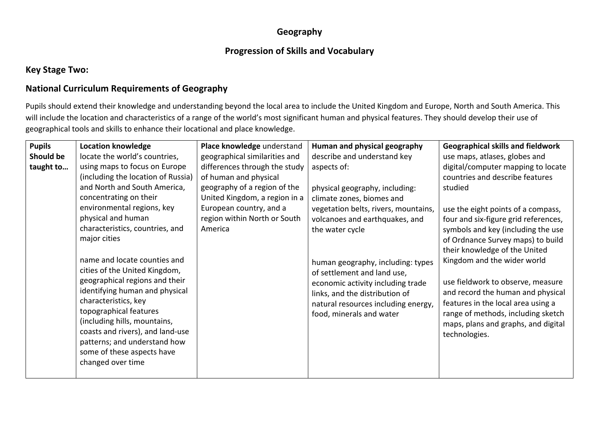### **Geography**

### **Progression of Skills and Vocabulary**

#### **Key Stage Two:**

### **National Curriculum Requirements of Geography**

Pupils should extend their knowledge and understanding beyond the local area to include the United Kingdom and Europe, North and South America. This will include the location and characteristics of a range of the world's most significant human and physical features. They should develop their use of geographical tools and skills to enhance their locational and place knowledge.

| <b>Pupils</b> | <b>Location knowledge</b>          | Place knowledge understand    | Human and physical geography         | <b>Geographical skills and fieldwork</b> |
|---------------|------------------------------------|-------------------------------|--------------------------------------|------------------------------------------|
| Should be     | locate the world's countries,      | geographical similarities and | describe and understand key          | use maps, atlases, globes and            |
| taught to     | using maps to focus on Europe      | differences through the study | aspects of:                          | digital/computer mapping to locate       |
|               | (including the location of Russia) | of human and physical         |                                      | countries and describe features          |
|               | and North and South America,       | geography of a region of the  | physical geography, including:       | studied                                  |
|               | concentrating on their             | United Kingdom, a region in a | climate zones, biomes and            |                                          |
|               | environmental regions, key         | European country, and a       | vegetation belts, rivers, mountains, | use the eight points of a compass,       |
|               | physical and human                 | region within North or South  | volcanoes and earthquakes, and       | four and six-figure grid references,     |
|               | characteristics, countries, and    | America                       | the water cycle                      | symbols and key (including the use       |
|               | major cities                       |                               |                                      | of Ordnance Survey maps) to build        |
|               |                                    |                               |                                      | their knowledge of the United            |
|               | name and locate counties and       |                               | human geography, including: types    | Kingdom and the wider world              |
|               | cities of the United Kingdom,      |                               | of settlement and land use,          |                                          |
|               | geographical regions and their     |                               | economic activity including trade    | use fieldwork to observe, measure        |
|               | identifying human and physical     |                               | links, and the distribution of       | and record the human and physical        |
|               | characteristics, key               |                               | natural resources including energy,  | features in the local area using a       |
|               | topographical features             |                               | food, minerals and water             | range of methods, including sketch       |
|               | (including hills, mountains,       |                               |                                      | maps, plans and graphs, and digital      |
|               | coasts and rivers), and land-use   |                               |                                      | technologies.                            |
|               | patterns; and understand how       |                               |                                      |                                          |
|               | some of these aspects have         |                               |                                      |                                          |
|               | changed over time                  |                               |                                      |                                          |
|               |                                    |                               |                                      |                                          |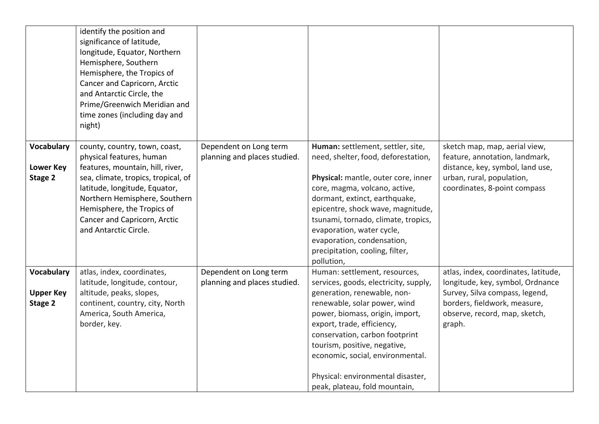|                                                  | identify the position and<br>significance of latitude,<br>longitude, Equator, Northern<br>Hemisphere, Southern<br>Hemisphere, the Tropics of<br>Cancer and Capricorn, Arctic<br>and Antarctic Circle, the<br>Prime/Greenwich Meridian and<br>time zones (including day and<br>night)          |                                                        |                                                                                                                                                                                                                                                                                                                                                                                    |                                                                                                                                                                                       |
|--------------------------------------------------|-----------------------------------------------------------------------------------------------------------------------------------------------------------------------------------------------------------------------------------------------------------------------------------------------|--------------------------------------------------------|------------------------------------------------------------------------------------------------------------------------------------------------------------------------------------------------------------------------------------------------------------------------------------------------------------------------------------------------------------------------------------|---------------------------------------------------------------------------------------------------------------------------------------------------------------------------------------|
| <b>Vocabulary</b><br><b>Lower Key</b><br>Stage 2 | county, country, town, coast,<br>physical features, human<br>features, mountain, hill, river,<br>sea, climate, tropics, tropical, of<br>latitude, longitude, Equator,<br>Northern Hemisphere, Southern<br>Hemisphere, the Tropics of<br>Cancer and Capricorn, Arctic<br>and Antarctic Circle. | Dependent on Long term<br>planning and places studied. | Human: settlement, settler, site,<br>need, shelter, food, deforestation,<br>Physical: mantle, outer core, inner<br>core, magma, volcano, active,<br>dormant, extinct, earthquake,<br>epicentre, shock wave, magnitude,<br>tsunami, tornado, climate, tropics,<br>evaporation, water cycle,<br>evaporation, condensation,<br>precipitation, cooling, filter,<br>pollution,          | sketch map, map, aerial view,<br>feature, annotation, landmark,<br>distance, key, symbol, land use,<br>urban, rural, population,<br>coordinates, 8-point compass                      |
| Vocabulary<br><b>Upper Key</b><br>Stage 2        | atlas, index, coordinates,<br>latitude, longitude, contour,<br>altitude, peaks, slopes,<br>continent, country, city, North<br>America, South America,<br>border, key.                                                                                                                         | Dependent on Long term<br>planning and places studied. | Human: settlement, resources,<br>services, goods, electricity, supply,<br>generation, renewable, non-<br>renewable, solar power, wind<br>power, biomass, origin, import,<br>export, trade, efficiency,<br>conservation, carbon footprint<br>tourism, positive, negative,<br>economic, social, environmental.<br>Physical: environmental disaster,<br>peak, plateau, fold mountain, | atlas, index, coordinates, latitude,<br>longitude, key, symbol, Ordnance<br>Survey, Silva compass, legend,<br>borders, fieldwork, measure,<br>observe, record, map, sketch,<br>graph. |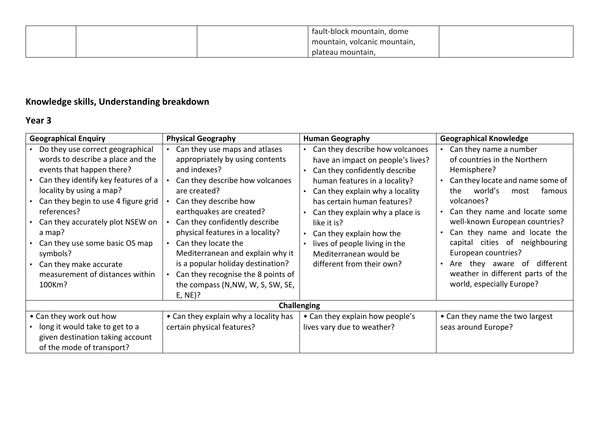|  | fault-block mountain, dome   |  |
|--|------------------------------|--|
|  | mountain, volcanic mountain, |  |
|  | plateau mountain,            |  |

# **Knowledge skills, Understanding breakdown**

### **Year 3**

| <b>Geographical Enquiry</b>                                                                                                                                                                                                                                                                                                                                                                    | <b>Physical Geography</b>                                                                                                                                                                                                                                                                                                                                                                                                                             | <b>Human Geography</b>                                                                                                                                                                                                                                                                                                                                                         | <b>Geographical Knowledge</b>                                                                                                                                                                                                                                                                                                                                                                                                     |
|------------------------------------------------------------------------------------------------------------------------------------------------------------------------------------------------------------------------------------------------------------------------------------------------------------------------------------------------------------------------------------------------|-------------------------------------------------------------------------------------------------------------------------------------------------------------------------------------------------------------------------------------------------------------------------------------------------------------------------------------------------------------------------------------------------------------------------------------------------------|--------------------------------------------------------------------------------------------------------------------------------------------------------------------------------------------------------------------------------------------------------------------------------------------------------------------------------------------------------------------------------|-----------------------------------------------------------------------------------------------------------------------------------------------------------------------------------------------------------------------------------------------------------------------------------------------------------------------------------------------------------------------------------------------------------------------------------|
| Do they use correct geographical<br>words to describe a place and the<br>events that happen there?<br>Can they identify key features of a<br>locality by using a map?<br>Can they begin to use 4 figure grid<br>references?<br>Can they accurately plot NSEW on<br>a map?<br>Can they use some basic OS map<br>symbols?<br>Can they make accurate<br>measurement of distances within<br>100Km? | Can they use maps and atlases<br>appropriately by using contents<br>and indexes?<br>Can they describe how volcanoes<br>are created?<br>Can they describe how<br>earthquakes are created?<br>Can they confidently describe<br>physical features in a locality?<br>Can they locate the<br>Mediterranean and explain why it<br>is a popular holiday destination?<br>Can they recognise the 8 points of<br>the compass (N, NW, W, S, SW, SE,<br>$E, NE$ ? | Can they describe how volcanoes<br>have an impact on people's lives?<br>Can they confidently describe<br>human features in a locality?<br>Can they explain why a locality<br>has certain human features?<br>Can they explain why a place is<br>like it is?<br>Can they explain how the<br>lives of people living in the<br>Mediterranean would be<br>different from their own? | Can they name a number<br>of countries in the Northern<br>Hemisphere?<br>Can they locate and name some of<br>world's<br>the<br>most<br>famous<br>volcanoes?<br>Can they name and locate some<br>well-known European countries?<br>Can they name and locate the<br>capital cities of neighbouring<br>European countries?<br>different<br>of<br>Are<br>they aware<br>weather in different parts of the<br>world, especially Europe? |
|                                                                                                                                                                                                                                                                                                                                                                                                |                                                                                                                                                                                                                                                                                                                                                                                                                                                       | <b>Challenging</b>                                                                                                                                                                                                                                                                                                                                                             |                                                                                                                                                                                                                                                                                                                                                                                                                                   |
| • Can they work out how<br>long it would take to get to a                                                                                                                                                                                                                                                                                                                                      | • Can they explain why a locality has<br>certain physical features?                                                                                                                                                                                                                                                                                                                                                                                   | • Can they explain how people's<br>lives vary due to weather?                                                                                                                                                                                                                                                                                                                  | • Can they name the two largest<br>seas around Europe?                                                                                                                                                                                                                                                                                                                                                                            |
| given destination taking account<br>of the mode of transport?                                                                                                                                                                                                                                                                                                                                  |                                                                                                                                                                                                                                                                                                                                                                                                                                                       |                                                                                                                                                                                                                                                                                                                                                                                |                                                                                                                                                                                                                                                                                                                                                                                                                                   |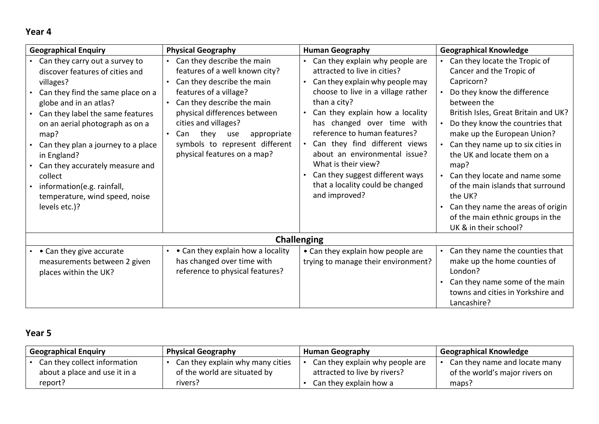# **Year 4**

| <b>Geographical Enquiry</b>                                                                                                                                                                                                                                                                                                                                                                                      | <b>Physical Geography</b>                                                                                                                                                                                                                                                                                                               | <b>Human Geography</b>                                                                                                                                                                                                                                                                                                                                                                                                                     | <b>Geographical Knowledge</b>                                                                                                                                                                                                                                                                                                                                                                                                                                                                    |
|------------------------------------------------------------------------------------------------------------------------------------------------------------------------------------------------------------------------------------------------------------------------------------------------------------------------------------------------------------------------------------------------------------------|-----------------------------------------------------------------------------------------------------------------------------------------------------------------------------------------------------------------------------------------------------------------------------------------------------------------------------------------|--------------------------------------------------------------------------------------------------------------------------------------------------------------------------------------------------------------------------------------------------------------------------------------------------------------------------------------------------------------------------------------------------------------------------------------------|--------------------------------------------------------------------------------------------------------------------------------------------------------------------------------------------------------------------------------------------------------------------------------------------------------------------------------------------------------------------------------------------------------------------------------------------------------------------------------------------------|
| Can they carry out a survey to<br>discover features of cities and<br>villages?<br>Can they find the same place on a<br>globe and in an atlas?<br>Can they label the same features<br>on an aerial photograph as on a<br>map?<br>Can they plan a journey to a place<br>in England?<br>Can they accurately measure and<br>collect<br>information(e.g. rainfall,<br>temperature, wind speed, noise<br>levels etc.)? | Can they describe the main<br>$\bullet$<br>features of a well known city?<br>Can they describe the main<br>$\bullet$<br>features of a village?<br>Can they describe the main<br>physical differences between<br>cities and villages?<br>they use<br>appropriate<br>Can<br>symbols to represent different<br>physical features on a map? | Can they explain why people are<br>attracted to live in cities?<br>Can they explain why people may<br>choose to live in a village rather<br>than a city?<br>Can they explain how a locality<br>has changed over time with<br>reference to human features?<br>Can they find different views<br>about an environmental issue?<br>What is their view?<br>Can they suggest different ways<br>that a locality could be changed<br>and improved? | Can they locate the Tropic of<br>Cancer and the Tropic of<br>Capricorn?<br>Do they know the difference<br>between the<br>British Isles, Great Britain and UK?<br>Do they know the countries that<br>make up the European Union?<br>Can they name up to six cities in<br>the UK and locate them on a<br>map?<br>• Can they locate and name some<br>of the main islands that surround<br>the UK?<br>Can they name the areas of origin<br>of the main ethnic groups in the<br>UK & in their school? |
|                                                                                                                                                                                                                                                                                                                                                                                                                  |                                                                                                                                                                                                                                                                                                                                         | <b>Challenging</b>                                                                                                                                                                                                                                                                                                                                                                                                                         |                                                                                                                                                                                                                                                                                                                                                                                                                                                                                                  |
| • • Can they give accurate<br>measurements between 2 given<br>places within the UK?                                                                                                                                                                                                                                                                                                                              | • Can they explain how a locality<br>$\bullet$<br>has changed over time with<br>reference to physical features?                                                                                                                                                                                                                         | • Can they explain how people are<br>trying to manage their environment?                                                                                                                                                                                                                                                                                                                                                                   | Can they name the counties that<br>make up the home counties of<br>London?<br>Can they name some of the main<br>towns and cities in Yorkshire and<br>Lancashire?                                                                                                                                                                                                                                                                                                                                 |

# **Year 5**

| <b>Geographical Enquiry</b>   | <b>Physical Geography</b>        | <b>Human Geography</b>          | <b>Geographical Knowledge</b>  |
|-------------------------------|----------------------------------|---------------------------------|--------------------------------|
| Can they collect information  | Can they explain why many cities | Can they explain why people are | Can they name and locate many  |
| about a place and use it in a | of the world are situated by     | attracted to live by rivers?    | of the world's major rivers on |
| report?                       | rivers?                          | Can they explain how a          | maps?                          |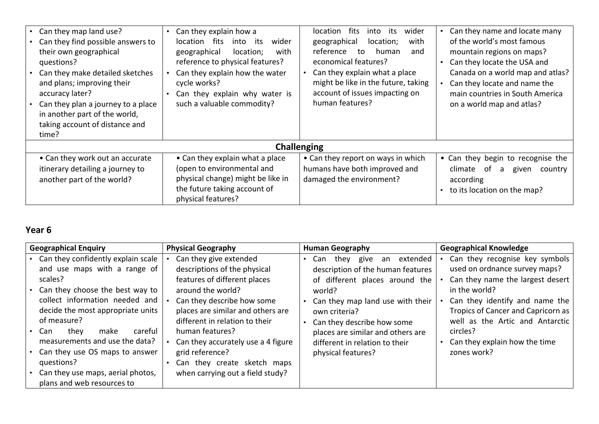| • Can they map land use?<br>Can they find possible answers to<br>their own geographical<br>questions?<br>Can they make detailed sketches<br>and plans; improving their<br>accuracy later?<br>Can they plan a journey to a place<br>in another part of the world,<br>taking account of distance and<br>time? | Can they explain how a<br>fits<br>its<br>wider<br>location<br>into<br>with<br>geographical<br>location;<br>reference to physical features?<br>Can they explain how the water<br>cycle works?<br>Can they explain why water is<br>such a valuable commodity? | fits<br>wider<br>its<br>location<br>into<br>with<br>location;<br>geographical<br>reference<br>human<br>and<br>to<br>economical features?<br>Can they explain what a place<br>might be like in the future, taking<br>account of issues impacting on<br>human features? | Can they name and locate many<br>of the world's most famous<br>mountain regions on maps?<br>Can they locate the USA and<br>Canada on a world map and atlas?<br>Can they locate and name the<br>main countries in South America<br>on a world map and atlas? |
|-------------------------------------------------------------------------------------------------------------------------------------------------------------------------------------------------------------------------------------------------------------------------------------------------------------|-------------------------------------------------------------------------------------------------------------------------------------------------------------------------------------------------------------------------------------------------------------|-----------------------------------------------------------------------------------------------------------------------------------------------------------------------------------------------------------------------------------------------------------------------|-------------------------------------------------------------------------------------------------------------------------------------------------------------------------------------------------------------------------------------------------------------|
|                                                                                                                                                                                                                                                                                                             | <b>Challenging</b>                                                                                                                                                                                                                                          |                                                                                                                                                                                                                                                                       |                                                                                                                                                                                                                                                             |
| • Can they work out an accurate<br>itinerary detailing a journey to<br>another part of the world?                                                                                                                                                                                                           | • Can they explain what a place<br>(open to environmental and<br>physical change) might be like in<br>the future taking account of<br>physical features?                                                                                                    | • Can they report on ways in which<br>humans have both improved and<br>damaged the environment?                                                                                                                                                                       | • Can they begin to recognise the<br>climate of<br>given<br>a<br>country<br>according<br>to its location on the map?                                                                                                                                        |

# **Year 6**

| <b>Geographical Enquiry</b>                                                                                                                                                                                                                                                                                                                                                                                | <b>Physical Geography</b>                                                                                                                                                                                                                                                                                                                                       | <b>Human Geography</b>                                                                                                                                                                                                                                                                                 | <b>Geographical Knowledge</b>                                                                                                                                                                                                                                                                 |
|------------------------------------------------------------------------------------------------------------------------------------------------------------------------------------------------------------------------------------------------------------------------------------------------------------------------------------------------------------------------------------------------------------|-----------------------------------------------------------------------------------------------------------------------------------------------------------------------------------------------------------------------------------------------------------------------------------------------------------------------------------------------------------------|--------------------------------------------------------------------------------------------------------------------------------------------------------------------------------------------------------------------------------------------------------------------------------------------------------|-----------------------------------------------------------------------------------------------------------------------------------------------------------------------------------------------------------------------------------------------------------------------------------------------|
| Can they confidently explain scale<br>and use maps with a range of<br>scales?<br>Can they choose the best way to<br>collect information needed and<br>decide the most appropriate units<br>of measure?<br>careful<br>they<br>Can<br>make<br>$\bullet$<br>measurements and use the data?<br>Can they use OS maps to answer<br>questions?<br>Can they use maps, aerial photos,<br>plans and web resources to | Can they give extended<br>descriptions of the physical<br>features of different places<br>around the world?<br>Can they describe how some<br>places are similar and others are<br>different in relation to their<br>human features?<br>Can they accurately use a 4 figure<br>grid reference?<br>Can they create sketch maps<br>when carrying out a field study? | extended<br>give<br>Can<br>thev<br>an<br>description of the human features<br>of different places around the<br>world?<br>Can they map land use with their<br>own criteria?<br>Can they describe how some<br>places are similar and others are<br>different in relation to their<br>physical features? | Can they recognise key symbols<br>used on ordnance survey maps?<br>Can they name the largest desert  <br>in the world?<br>Can they identify and name the<br>Tropics of Cancer and Capricorn as<br>well as the Artic and Antarctic<br>circles?<br>Can they explain how the time<br>zones work? |